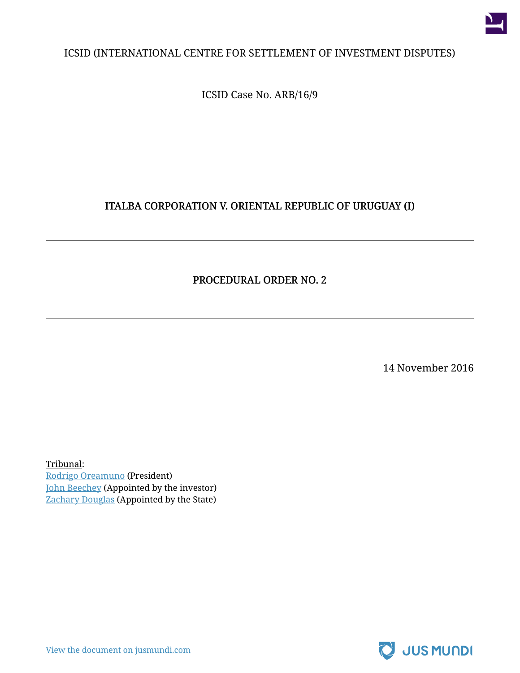

### ICSID (INTERNATIONAL CENTRE FOR SETTLEMENT OF INVESTMENT DISPUTES)

ICSID Case No. ARB/16/9

## ITALBA CORPORATION V. ORIENTAL REPUBLIC OF URUGUAY (I)

### PROCEDURAL ORDER NO. 2

14 November 2016

Tribunal: [Rodrigo Oreamuno](https://jusmundi.com/p/rodrigo-oreamuno) (President) [John Beechey](https://jusmundi.com/p/john-beechey) (Appointed by the investor) [Zachary Douglas](https://jusmundi.com/p/zachary-douglas) (Appointed by the State)

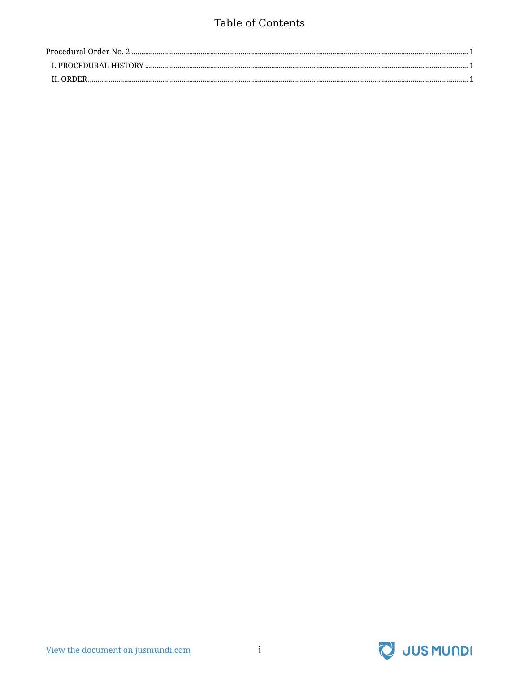## Table of Contents

| IL ORDER |  |
|----------|--|

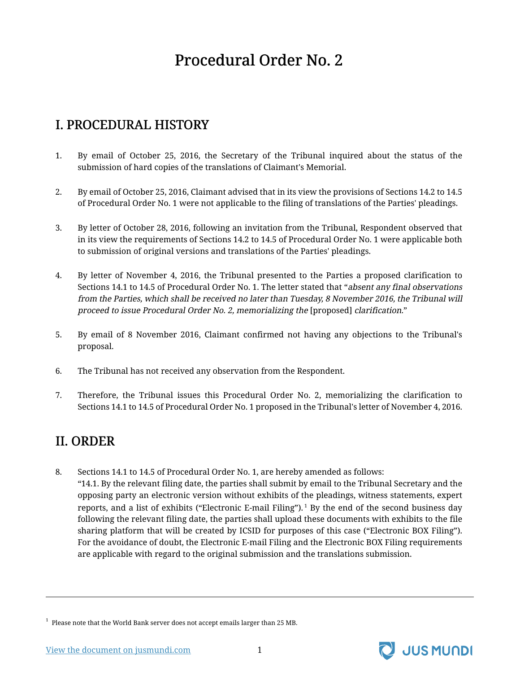# Procedural Order No. 2

# <span id="page-2-1"></span><span id="page-2-0"></span>I. PROCEDURAL HISTORY

- 1. By email of October 25, 2016, the Secretary of the Tribunal inquired about the status of the submission of hard copies of the translations of Claimant's Memorial.
- 2. By email of October 25, 2016, Claimant advised that in its view the provisions of Sections 14.2 to 14.5 of Procedural Order No. 1 were not applicable to the filing of translations of the Parties' pleadings.
- 3. By letter of October 28, 2016, following an invitation from the Tribunal, Respondent observed that in its view the requirements of Sections 14.2 to 14.5 of Procedural Order No. 1 were applicable both to submission of original versions and translations of the Parties' pleadings.
- 4. By letter of November 4, 2016, the Tribunal presented to the Parties a proposed clarification to Sections 14.1 to 14.5 of Procedural Order No. 1. The letter stated that "absent any final observations from the Parties, which shall be received no later than Tuesday, 8 November 2016, the Tribunal will proceed to issue Procedural Order No. 2, memorializing the [proposed] clarification."
- 5. By email of 8 November 2016, Claimant confirmed not having any objections to the Tribunal's proposal.
- 6. The Tribunal has not received any observation from the Respondent.
- 7. Therefore, the Tribunal issues this Procedural Order No. 2, memorializing the clarification to Sections 14.1 to 14.5 of Procedural Order No. 1 proposed in the Tribunal's letter of November 4, 2016.

# <span id="page-2-2"></span>II. ORDER

8. Sections 14.1 to 14.5 of Procedural Order No. 1, are hereby amended as follows: "14.1. By the relevant filing date, the parties shall submit by email to the Tribunal Secretary and the opposing party an electronic version without exhibits of the pleadings, witness statements, expert reports, and a list of exhibits ("Electronic E-mail Filing").<sup>1</sup> By the end of the second business day following the relevant filing date, the parties shall upload these documents with exhibits to the file sharing platform that will be created by ICSID for purposes of this case ("Electronic BOX Filing"). For the avoidance of doubt, the Electronic E-mail Filing and the Electronic BOX Filing requirements are applicable with regard to the original submission and the translations submission.



 $^{\rm 1}$  Please note that the World Bank server does not accept emails larger than 25 MB.